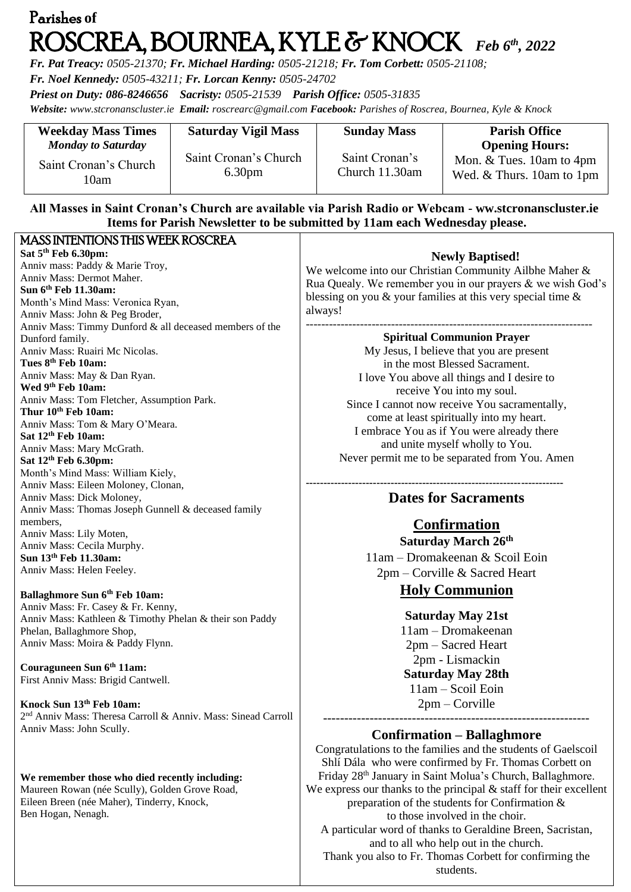# Parishes **of**  ROSCREA, BOURNEA, KYLE & KNOCK *Feb 6th , 2022*

*Fr. Pat Treacy: 0505-21370; Fr. Michael Harding: 0505-21218; Fr. Tom Corbett: 0505-21108;* 

*Fr. Noel Kennedy: 0505-43211; Fr. Lorcan Kenny: 0505-24702*

*Priest on Duty: 086-8246656 Sacristy: 0505-21539 Parish Office: 0505-31835* 

*Website: [www.stcronanscluster.ie](http://www.stcronanscluster.ie/) Email: [roscrearc@gmail.com](mailto:roscrearc@gmail.com) Facebook: Parishes of Roscrea, Bournea, Kyle & Knock* 

| <b>Weekday Mass Times</b>     | <b>Saturday Vigil Mass</b>                  | <b>Sunday Mass</b>               | <b>Parish Office</b>                                  |
|-------------------------------|---------------------------------------------|----------------------------------|-------------------------------------------------------|
| <b>Monday to Saturday</b>     |                                             |                                  | <b>Opening Hours:</b>                                 |
| Saint Cronan's Church<br>10am | Saint Cronan's Church<br>6.30 <sub>pm</sub> | Saint Cronan's<br>Church 11.30am | Mon. & Tues. 10am to 4pm<br>Wed. & Thurs. 10am to 1pm |

## **All Masses in Saint Cronan's Church are available via Parish Radio or Webcam - ww.stcronanscluster.ie Items for Parish Newsletter to be submitted by 11am each Wednesday please.**

| MASS INTENTIONS THIS WEEK ROSCREA                                         |                                                                       |
|---------------------------------------------------------------------------|-----------------------------------------------------------------------|
| Sat 5 <sup>th</sup> Feb 6.30pm:                                           | <b>Newly Baptised!</b>                                                |
| Anniv mass: Paddy & Marie Troy,                                           |                                                                       |
| Anniv Mass: Dermot Maher.                                                 | We welcome into our Christian Community Ailbhe Maher &                |
| Sun 6th Feb 11.30am:                                                      | Rua Quealy. We remember you in our prayers & we wish God's            |
| Month's Mind Mass: Veronica Ryan,                                         | blessing on you $\&$ your families at this very special time $\&$     |
| Anniv Mass: John & Peg Broder,                                            | always!                                                               |
| Anniv Mass: Timmy Dunford & all deceased members of the                   |                                                                       |
| Dunford family.                                                           | <b>Spiritual Communion Prayer</b>                                     |
| Anniv Mass: Ruairi Mc Nicolas.                                            | My Jesus, I believe that you are present                              |
| Tues 8th Feb 10am:                                                        | in the most Blessed Sacrament.                                        |
| Anniv Mass: May & Dan Ryan.                                               | I love You above all things and I desire to                           |
| Wed 9 <sup>th</sup> Feb 10am:                                             |                                                                       |
| Anniv Mass: Tom Fletcher, Assumption Park.                                | receive You into my soul.                                             |
| Thur 10th Feb 10am:                                                       | Since I cannot now receive You sacramentally,                         |
| Anniv Mass: Tom & Mary O'Meara.                                           | come at least spiritually into my heart.                              |
| Sat 12 <sup>th</sup> Feb 10am:                                            | I embrace You as if You were already there                            |
| Anniv Mass: Mary McGrath.                                                 | and unite myself wholly to You.                                       |
| Sat 12 <sup>th</sup> Feb 6.30pm:                                          | Never permit me to be separated from You. Amen                        |
| Month's Mind Mass: William Kiely,                                         |                                                                       |
| Anniv Mass: Eileen Moloney, Clonan,                                       |                                                                       |
| Anniv Mass: Dick Moloney,                                                 | <b>Dates for Sacraments</b>                                           |
| Anniv Mass: Thomas Joseph Gunnell & deceased family                       |                                                                       |
| members,                                                                  |                                                                       |
| Anniv Mass: Lily Moten,                                                   | <b>Confirmation</b>                                                   |
| Anniv Mass: Cecila Murphy.                                                | Saturday March 26th                                                   |
| Sun 13th Feb 11.30am:                                                     | 11am – Dromakeenan & Scoil Eoin                                       |
| Anniv Mass: Helen Feeley.                                                 | $2pm - Corville &$ Sacred Heart                                       |
|                                                                           |                                                                       |
| Ballaghmore Sun 6th Feb 10am:                                             | <b>Holy Communion</b>                                                 |
| Anniv Mass: Fr. Casey & Fr. Kenny,                                        |                                                                       |
| Anniv Mass: Kathleen & Timothy Phelan & their son Paddy                   | <b>Saturday May 21st</b>                                              |
| Phelan, Ballaghmore Shop,                                                 | $11am - Dromakeenan$                                                  |
| Anniv Mass: Moira & Paddy Flynn.                                          | 2pm – Sacred Heart                                                    |
|                                                                           |                                                                       |
| Couraguneen Sun 6th 11am:                                                 | 2pm - Lismackin                                                       |
| First Anniv Mass: Brigid Cantwell.                                        | <b>Saturday May 28th</b>                                              |
|                                                                           | 11am - Scoil Eoin                                                     |
| Knock Sun 13th Feb 10am:                                                  | $2pm - Corville$                                                      |
| 2 <sup>nd</sup> Anniv Mass: Theresa Carroll & Anniv. Mass: Sinead Carroll |                                                                       |
| Anniv Mass: John Scully.                                                  |                                                                       |
|                                                                           | <b>Confirmation - Ballaghmore</b>                                     |
|                                                                           | Congratulations to the families and the students of Gaelscoil         |
|                                                                           | Shlí Dála who were confirmed by Fr. Thomas Corbett on                 |
| We remember those who died recently including:                            | Friday 28 <sup>th</sup> January in Saint Molua's Church, Ballaghmore. |
| Maureen Rowan (née Scully), Golden Grove Road,                            | We express our thanks to the principal $&$ staff for their excellent  |
| Eileen Breen (née Maher), Tinderry, Knock,                                | preparation of the students for Confirmation $\&$                     |
| Ben Hogan, Nenagh.                                                        | to those involved in the choir.                                       |
|                                                                           |                                                                       |
|                                                                           | A particular word of thanks to Geraldine Breen, Sacristan,            |

and to all who help out in the church. Thank you also to Fr. Thomas Corbett for confirming the students.